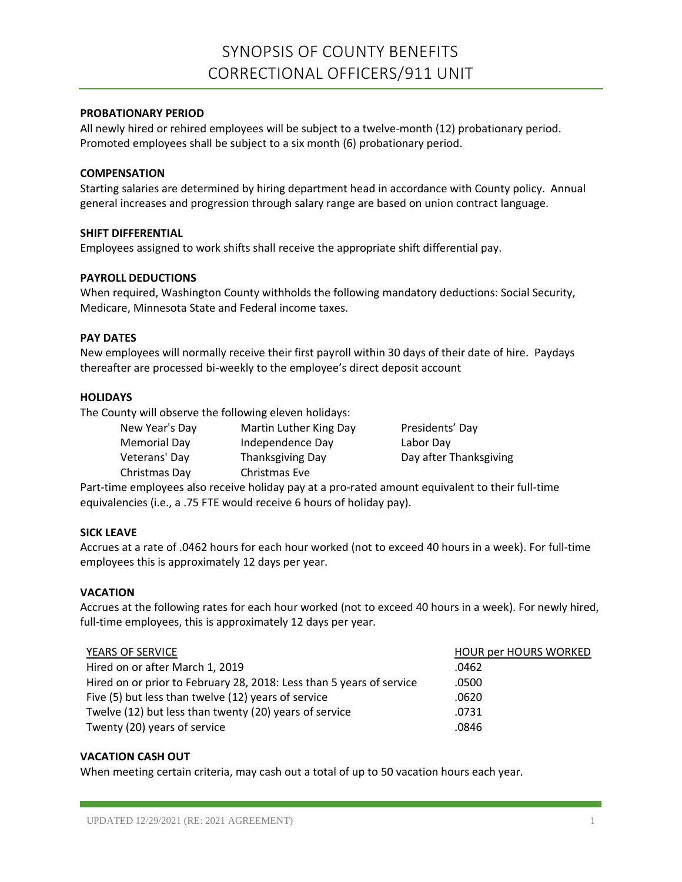# **PROBATIONARY PERIOD**

All newly hired or rehired employees will be subject to a twelve-month (12) probationary period. Promoted employees shall be subject to a six month (6) probationary period.

# **COMPENSATION**

Starting salaries are determined by hiring department head in accordance with County policy. Annual general increases and progression through salary range are based on union contract language.

# **SHIFT DIFFERENTIAL**

Employees assigned to work shifts shall receive the appropriate shift differential pay.

## **PAYROLL DEDUCTIONS**

When required, Washington County withholds the following mandatory deductions: Social Security, Medicare, Minnesota State and Federal income taxes.

## **PAY DATES**

New employees will normally receive their first payroll within 30 days of their date of hire. Paydays thereafter are processed bi-weekly to the employee's direct deposit account

## **HOLIDAYS**

The County will observe the following eleven holidays:

| New Year's Day | Martin Luther King Day | Presidents' Day        |
|----------------|------------------------|------------------------|
| Memorial Day   | Independence Day       | Labor Day              |
| Veterans' Day  | Thanksgiving Day       | Day after Thanksgiving |
| Christmas Day  | Christmas Eve          |                        |
|                |                        |                        |

Part-time employees also receive holiday pay at a pro-rated amount equivalent to their full-time equivalencies (i.e., a .75 FTE would receive 6 hours of holiday pay).

# **SICK LEAVE**

Accrues at a rate of .0462 hours for each hour worked (not to exceed 40 hours in a week). For full-time employees this is approximately 12 days per year.

#### **VACATION**

Accrues at the following rates for each hour worked (not to exceed 40 hours in a week). For newly hired, full-time employees, this is approximately 12 days per year.

#### YEARS OF SERVICE THE RESERVICE OF SERVICE THE SERVICE OF SERVICE AND THE SERVICE OF SERVICE OF SERVICE OF SERVICE

| Hired on or after March 1, 2019                                      | .0462 |
|----------------------------------------------------------------------|-------|
| Hired on or prior to February 28, 2018: Less than 5 years of service | .0500 |
| Five (5) but less than twelve (12) years of service                  | .0620 |
| Twelve (12) but less than twenty (20) years of service               | .0731 |
| Twenty (20) years of service                                         | .0846 |

#### **VACATION CASH OUT**

When meeting certain criteria, may cash out a total of up to 50 vacation hours each year.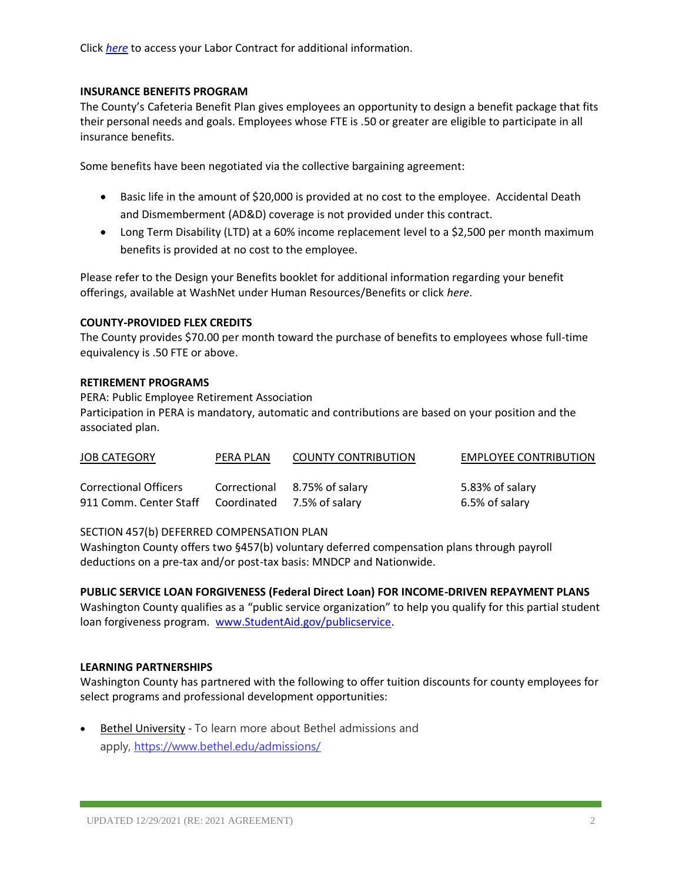Click *[here](https://washnet.co.washington.mn.us/depts/hr/labagre/IntraCon/Correctional%20Officer%20911%20Unit%20Contract.pdf)* to access your Labor Contract for additional information.

# **INSURANCE BENEFITS PROGRAM**

The County's Cafeteria Benefit Plan gives employees an opportunity to design a benefit package that fits their personal needs and goals. Employees whose FTE is .50 or greater are eligible to participate in all insurance benefits.

Some benefits have been negotiated via the collective bargaining agreement:

- Basic life in the amount of \$20,000 is provided at no cost to the employee. Accidental Death and Dismemberment (AD&D) coverage is not provided under this contract.
- Long Term Disability (LTD) at a 60% income replacement level to a \$2,500 per month maximum benefits is provided at no cost to the employee.

Please refer to the Design your Benefits booklet for additional information regarding your benefit offerings, available at WashNet under Human Resources/Benefits or click *here*.

## **COUNTY-PROVIDED FLEX CREDITS**

The County provides \$70.00 per month toward the purchase of benefits to employees whose full-time equivalency is .50 FTE or above.

## **RETIREMENT PROGRAMS**

PERA: Public Employee Retirement Association Participation in PERA is mandatory, automatic and contributions are based on your position and the associated plan.

| <b>JOB CATEGORY</b>                               | PERA PLAN | <b>COUNTY CONTRIBUTION</b>   | <b>EMPLOYEE CONTRIBUTION</b> |
|---------------------------------------------------|-----------|------------------------------|------------------------------|
| <b>Correctional Officers</b>                      |           | Correctional 8.75% of salary | 5.83% of salary              |
| 911 Comm. Center Staff Coordinated 7.5% of salary |           |                              | 6.5% of salary               |

#### SECTION 457(b) DEFERRED COMPENSATION PLAN

Washington County offers two §457(b) voluntary deferred compensation plans through payroll deductions on a pre-tax and/or post-tax basis: MNDCP and Nationwide.

# **PUBLIC SERVICE LOAN FORGIVENESS (Federal Direct Loan) FOR INCOME-DRIVEN REPAYMENT PLANS**

Washington County qualifies as a "public service organization" to help you qualify for this partial student loan forgiveness program. [www.StudentAid.gov/publicservice.](http://www.studentaid.gov/publicservice)

#### **LEARNING PARTNERSHIPS**

Washington County has partnered with the following to offer tuition discounts for county employees for select programs and professional development opportunities:

• Bethel University - To learn more about Bethel admissions and apply, <https://www.bethel.edu/admissions/>